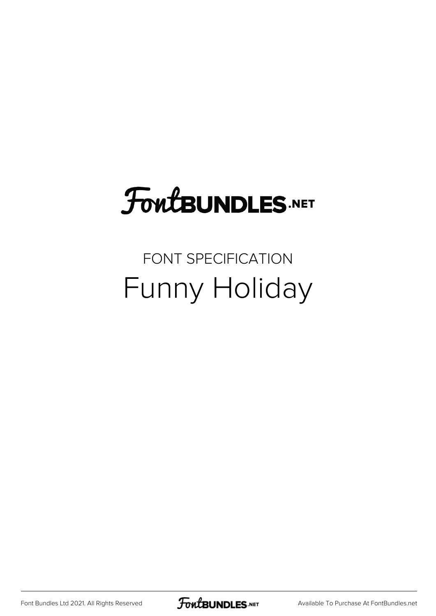# **FoutBUNDLES.NET**

### FONT SPECIFICATION Funny Holiday

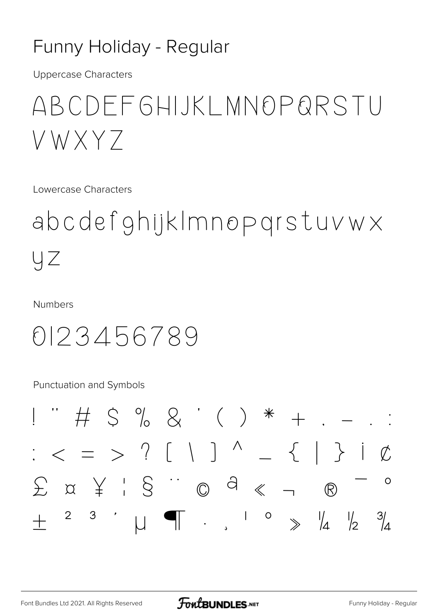#### Funny Holiday - Regular

**Uppercase Characters** 

# ABCDFF6HIJKI MNOPQRSTU VWXY7

Lowercase Characters

abcdefghijkImnopgrstuvwx YZ

**Numbers** 

## 0123456789

**Punctuation and Symbols** 

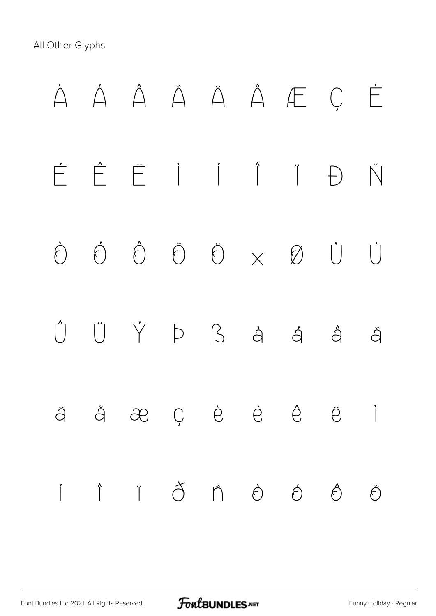All Other Glyphs